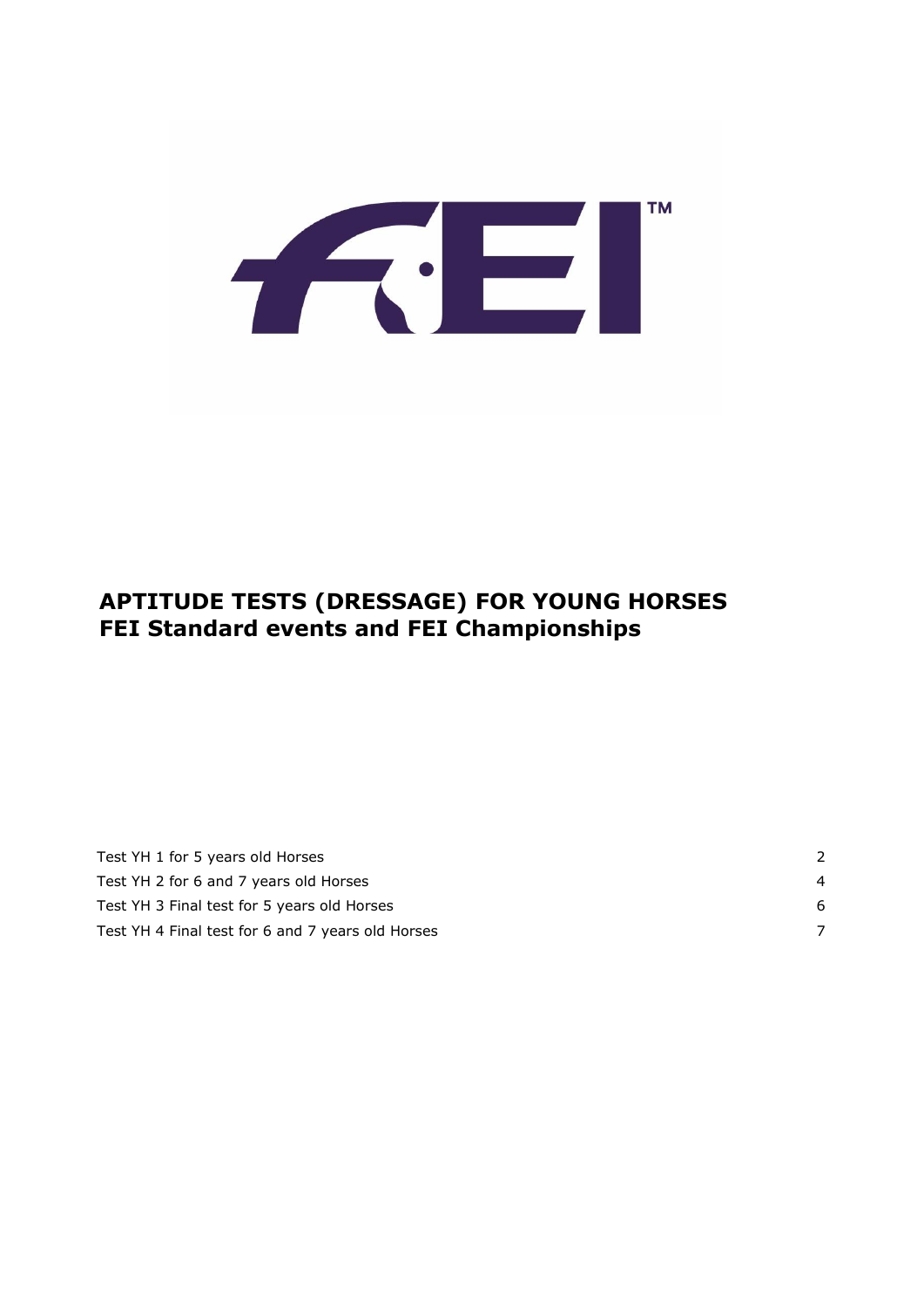

### **APTITUDE TESTS (DRESSAGE) FOR YOUNG HORSES FEI Standard events and FEI Championships**

| Test YH 1 for 5 years old Horses                  |    |
|---------------------------------------------------|----|
| Test YH 2 for 6 and 7 years old Horses            | 4  |
| Test YH 3 Final test for 5 years old Horses       | -6 |
| Test YH 4 Final test for 6 and 7 years old Horses |    |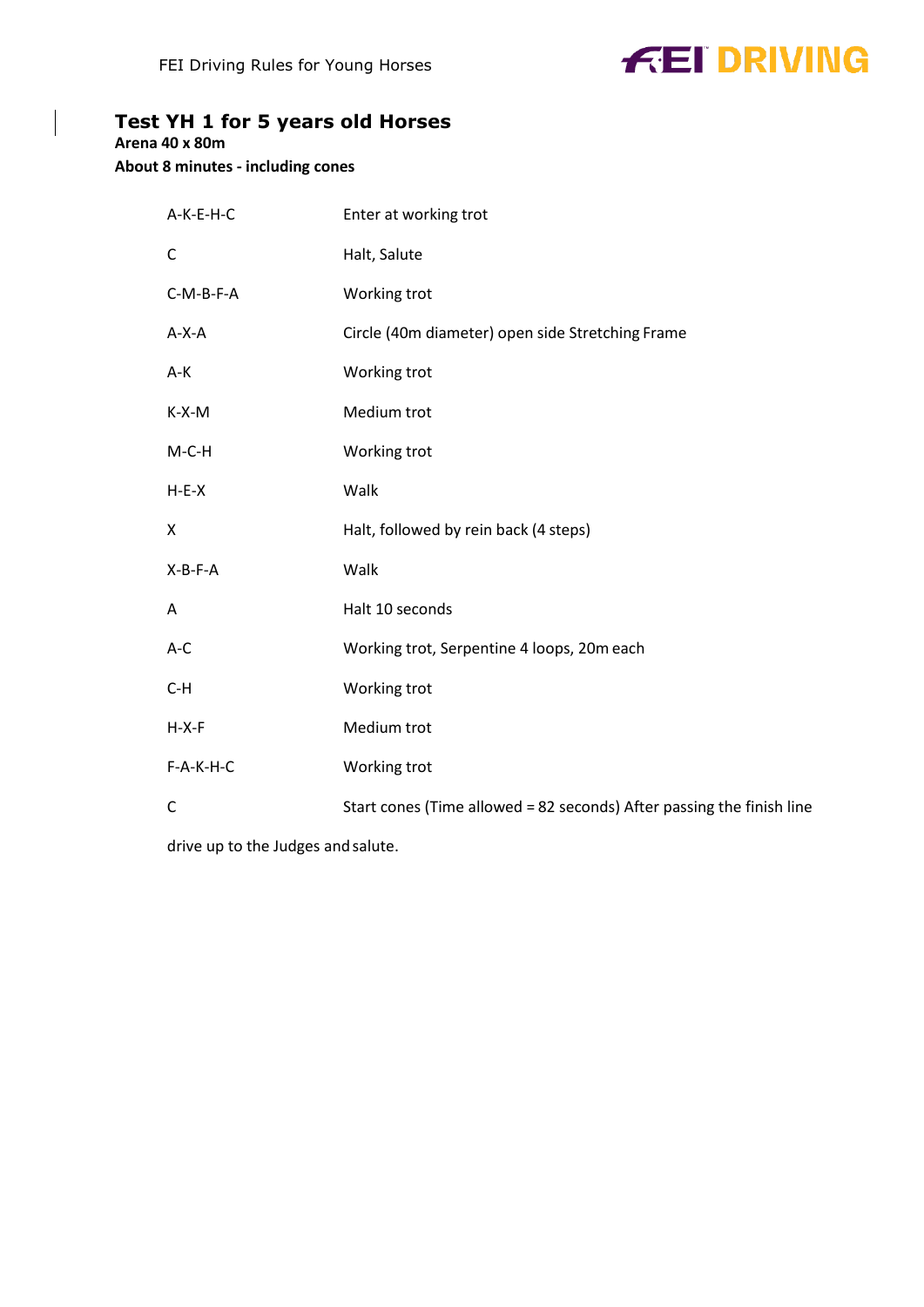# **FEI DRIVING**

#### <span id="page-1-0"></span>**Test YH 1 for 5 years old Horses**

**Arena 40 x 80m**

 $\Bigg\vert$ 

**About 8 minutes - including cones**

| A-K-E-H-C    | Enter at working trot                                                 |
|--------------|-----------------------------------------------------------------------|
| $\mathsf C$  | Halt, Salute                                                          |
| C-M-B-F-A    | Working trot                                                          |
| $A-X-A$      | Circle (40m diameter) open side Stretching Frame                      |
| A-K          | Working trot                                                          |
| $K-X-M$      | Medium trot                                                           |
| $M-C-H$      | Working trot                                                          |
| $H-E-X$      | Walk                                                                  |
| X            | Halt, followed by rein back (4 steps)                                 |
| $X-B-F-A$    | Walk                                                                  |
| Α            | Halt 10 seconds                                                       |
| $A-C$        | Working trot, Serpentine 4 loops, 20m each                            |
| $C-H$        | Working trot                                                          |
| $H-X-F$      | Medium trot                                                           |
| $F-A-K-H-C$  | Working trot                                                          |
| $\mathsf{C}$ | Start cones (Time allowed = 82 seconds) After passing the finish line |

drive up to the Judges and salute.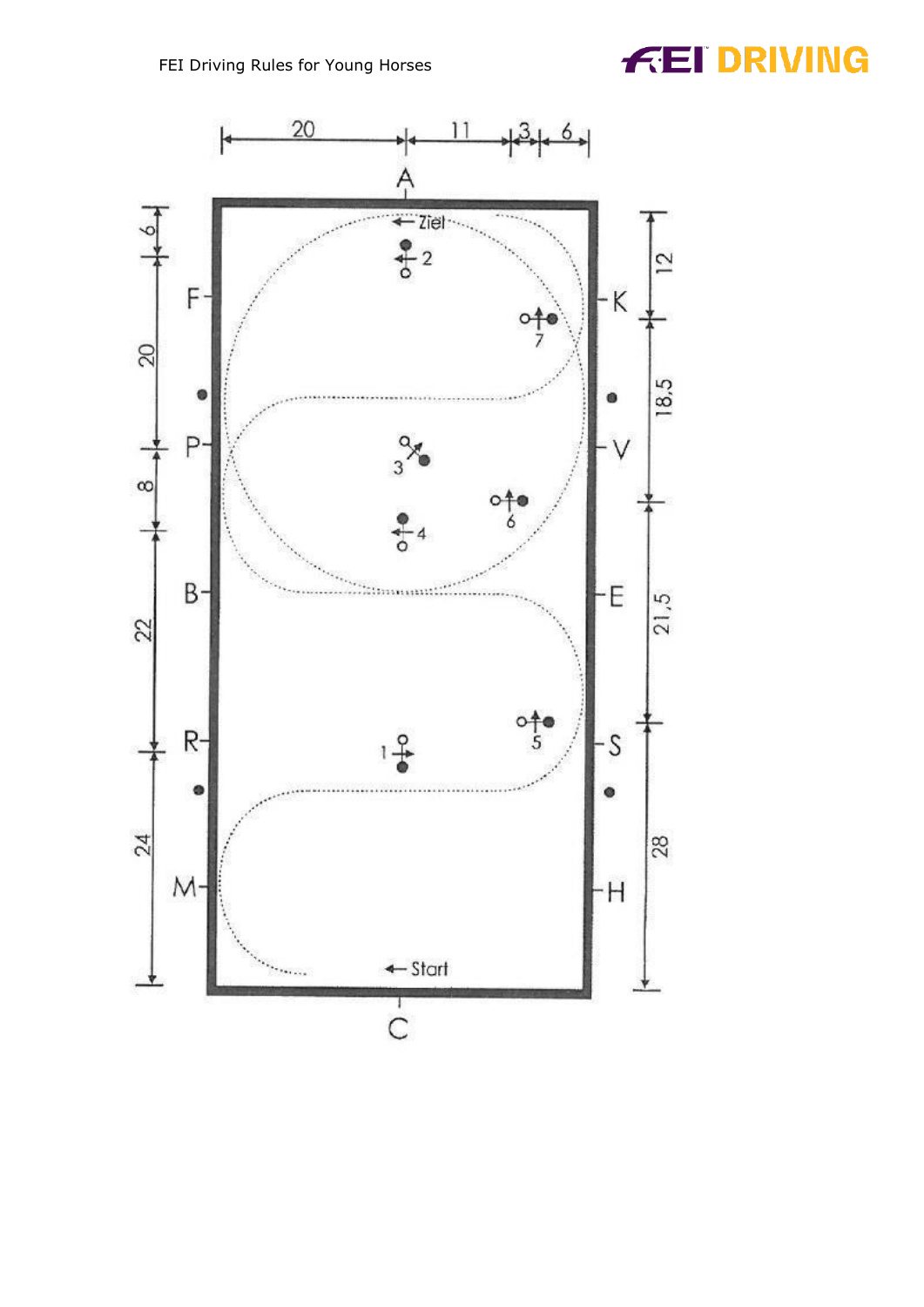## **FEI DRIVING**

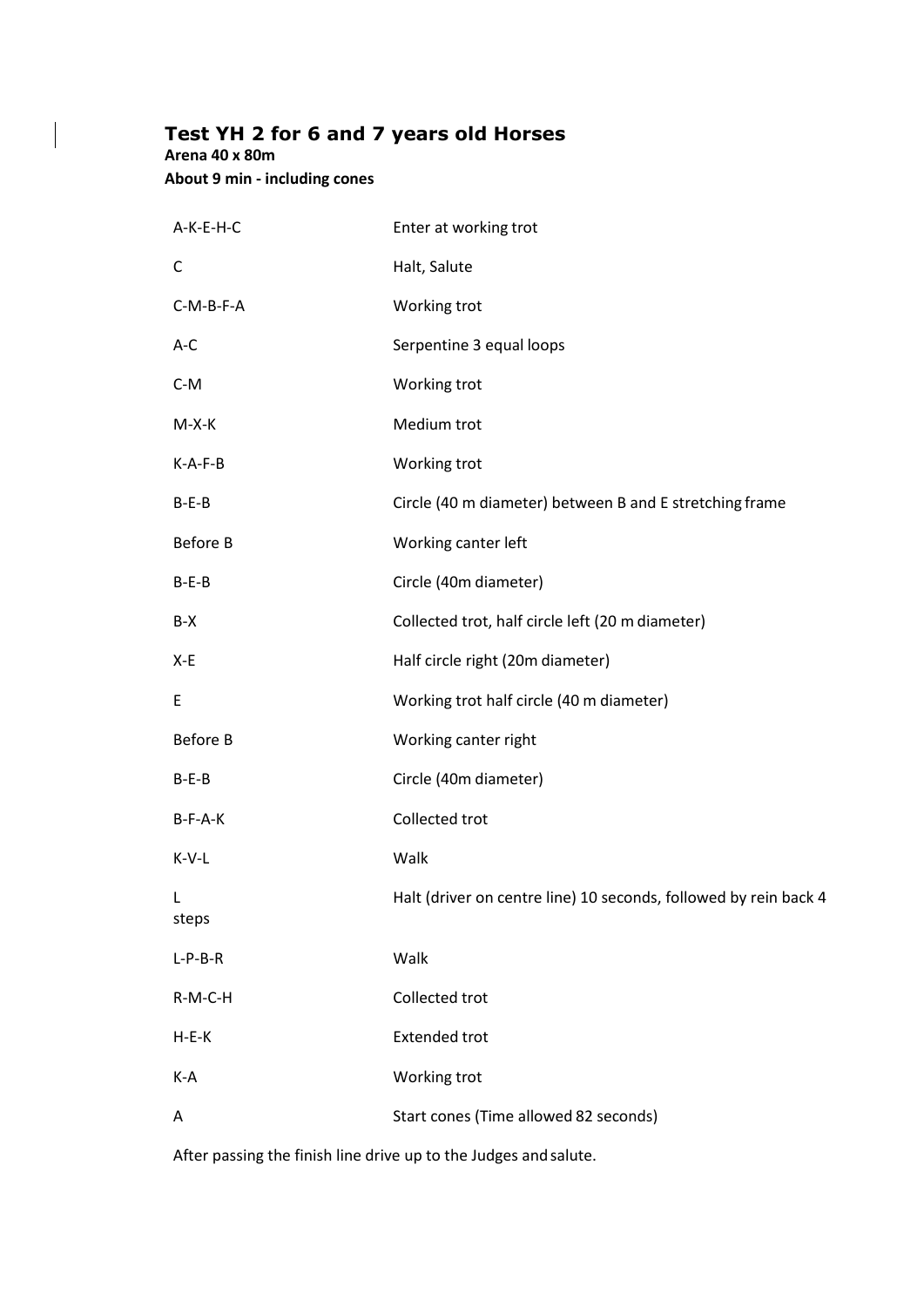#### <span id="page-3-0"></span>**Test YH 2 for 6 and 7 years old Horses**

**Arena 40 x 80m**

 $\bigg|$ 

**About 9 min - including cones**

| A-K-E-H-C       | Enter at working trot                                            |
|-----------------|------------------------------------------------------------------|
| C               | Halt, Salute                                                     |
| C-M-B-F-A       | Working trot                                                     |
| $A-C$           | Serpentine 3 equal loops                                         |
| $C-M$           | Working trot                                                     |
| $M-X-K$         | Medium trot                                                      |
| $K-A-F-B$       | Working trot                                                     |
| $B-E-B$         | Circle (40 m diameter) between B and E stretching frame          |
| <b>Before B</b> | Working canter left                                              |
| $B-E-B$         | Circle (40m diameter)                                            |
| B-X             | Collected trot, half circle left (20 m diameter)                 |
| X-E             | Half circle right (20m diameter)                                 |
| E               | Working trot half circle (40 m diameter)                         |
| <b>Before B</b> | Working canter right                                             |
| $B-E-B$         | Circle (40m diameter)                                            |
| B-F-A-K         | Collected trot                                                   |
| $K-V-L$         | Walk                                                             |
| L<br>steps      | Halt (driver on centre line) 10 seconds, followed by rein back 4 |
| $L-P-B-R$       | Walk                                                             |
| R-M-C-H         | Collected trot                                                   |
| $H-E-K$         | <b>Extended trot</b>                                             |
| K-A             | Working trot                                                     |
| A               | Start cones (Time allowed 82 seconds)                            |

After passing the finish line drive up to the Judges and salute.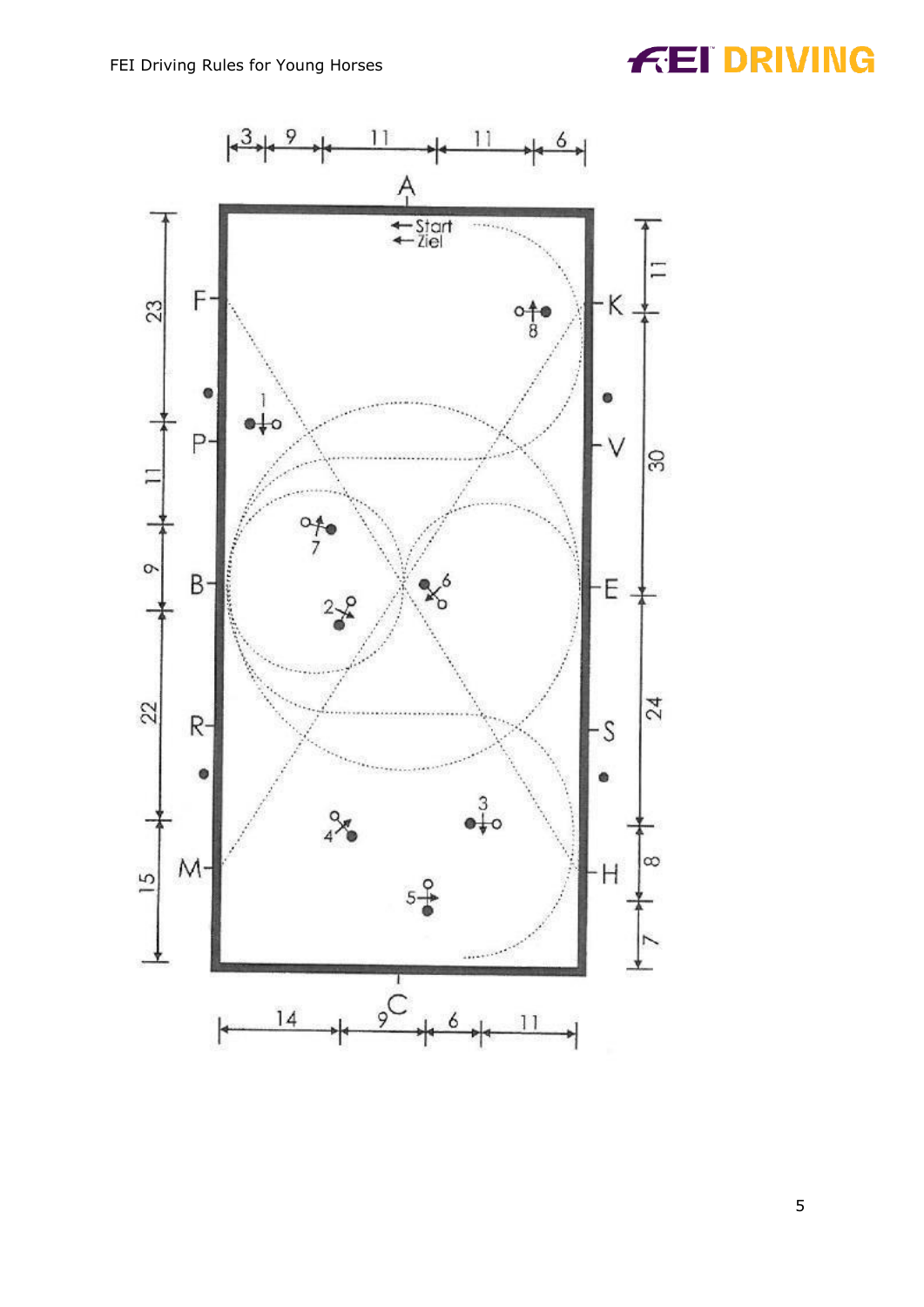## **FEI DRIVING**



5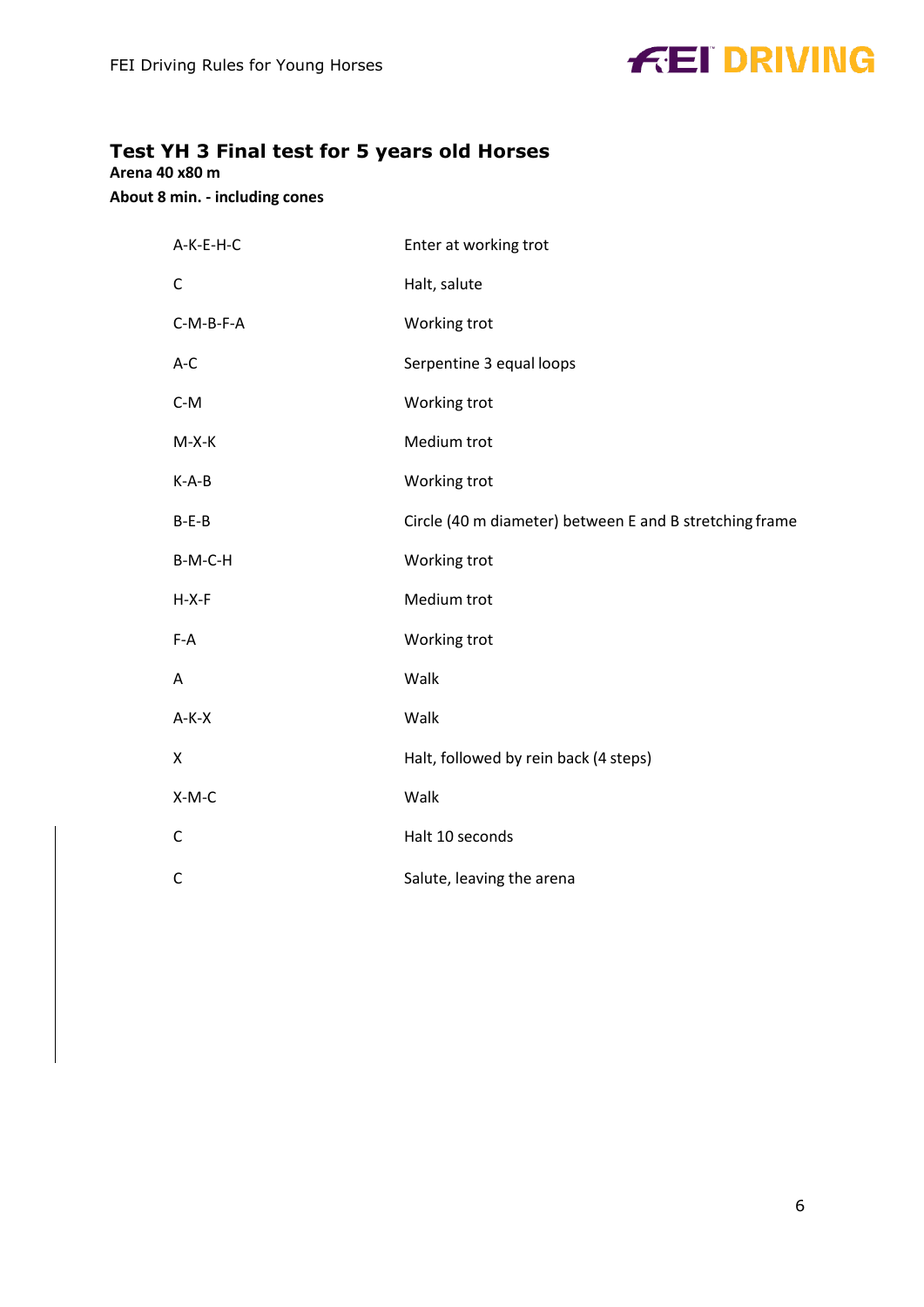

#### <span id="page-5-0"></span>**Test YH 3 Final test for 5 years old Horses**

**Arena 40 x80 m**

**About 8 min. - including cones**

| A-K-E-H-C   | Enter at working trot                                   |
|-------------|---------------------------------------------------------|
| C           | Halt, salute                                            |
| $C-M-B-F-A$ | Working trot                                            |
| A-C         | Serpentine 3 equal loops                                |
| $C-M$       | Working trot                                            |
| $M-X-K$     | Medium trot                                             |
| $K-A-B$     | Working trot                                            |
| $B-E-B$     | Circle (40 m diameter) between E and B stretching frame |
| B-M-C-H     | Working trot                                            |
| $H-X-F$     | Medium trot                                             |
| $F-A$       | Working trot                                            |
| Α           | Walk                                                    |
| $A-K-X$     | Walk                                                    |
| X           | Halt, followed by rein back (4 steps)                   |
| $X-M-C$     | Walk                                                    |
| $\mathsf C$ | Halt 10 seconds                                         |
| C           | Salute, leaving the arena                               |